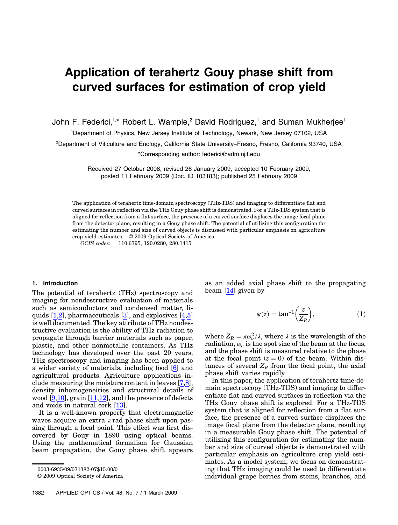# Application of terahertz Gouy phase shift from curved surfaces for estimation of crop yield

John F. Federici,<sup>1,\*</sup> Robert L. Wample,<sup>2</sup> David Rodriguez,<sup>1</sup> and Suman Mukherjee<sup>1</sup>

1 Department of Physics, New Jersey Institute of Technology, Newark, New Jersey 07102, USA

2 Department of Viticulture and Enology, California State University*–*Fresno, Fresno, California 93740, USA

\*Corresponding author: federici@adm.njit.edu

Received 27 October 2008; revised 26 January 2009; accepted 10 February 2009; posted 11 February 2009 (Doc. ID 103183); published 25 February 2009

The application of terahertz time-domain spectroscopy (THz-TDS) and imaging to differentiate flat and curved surfaces in reflection via the THz Gouy phase shift is demonstrated. For a THz-TDS system that is aligned for reflection from a flat surface, the presence of a curved surface displaces the image focal plane from the detector plane, resulting in a Gouy phase shift. The potential of utilizing this configuration for estimating the number and size of curved objects is discussed with particular emphasis on agriculture crop yield estimates. © 2009 Optical Society of America

OCIS codes: 110.6795, 120.0280, 280.1415.

#### 1. Introduction

The potential of terahertz (THz) spectroscopy and imaging for nondestructive evaluation of materials such as semiconductors and condensed matter, liquids  $[1,2]$ , pharmaceuticals  $[3]$ , and explosives  $[4,5]$ is well documented. The key attribute of THz nondestructive evaluation is the ability of THz radiation to propagate through barrier materials such as paper, plastic, and other nonmetallic containers. As THz technology has developed over the past 20 years, THz spectroscopy and imaging has been applied to a wider variety of materials, including food [6] and agricultural products. Agriculture applications include measuring the moisture content in leaves [7,8], density inhomogeneities and structural details of wood  $[9,10]$ , grain  $[11,12]$ , and the presence of defects and voids in natural cork [13].

It is a well-known property that electromagnetic waves acquire an extra  $\pi$  rad phase shift upon passing through a focal point. This effect was first discovered by Gouy in 1890 using optical beams. Using the mathematical formalism for Gaussian beam propagation, the Gouy phase shift appears

© 2009 Optical Society of America

as an added axial phase shift to the propagating beam  $[14]$  given by

$$
\psi(z) = \tan^{-1}\left(\frac{z}{Z_R}\right),\tag{1}
$$

where  $Z_R = \pi \omega_o^2 / \lambda$ , where  $\lambda$  is the wavelength of the radiation,  $\omega_o$  is the spot size of the beam at the focus, and the phase shift is measured relative to the phase at the focal point  $(z = 0)$  of the beam. Within distances of several  $Z_R$  from the focal point, the axial phase shift varies rapidly.

In this paper, the application of terahertz time-domain spectroscopy (THz-TDS) and imaging to differentiate flat and curved surfaces in reflection via the THz Gouy phase shift is explored. For a THz-TDS system that is aligned for reflection from a flat surface, the presence of a curved surface displaces the image focal plane from the detector plane, resulting in a measurable Gouy phase shift. The potential of utilizing this configuration for estimating the number and size of curved objects is demonstrated with particular emphasis on agriculture crop yield estimates. As a model system, we focus on demonstrating that THz imaging could be used to differentiate individual grape berries from stems, branches, and

<sup>0003-6935/09/071382-07\$15.00/0</sup>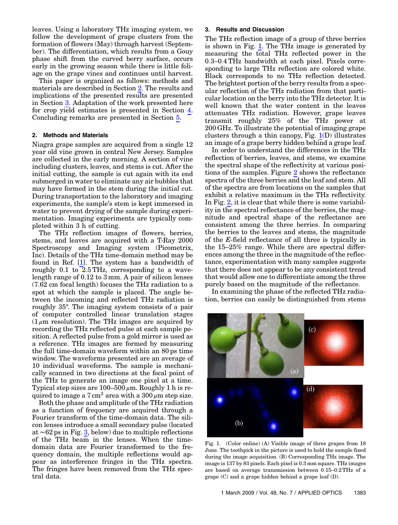leaves. Using a laboratory THz imaging system, we follow the development of grape clusters from the formation of flowers (May) through harvest (September). The differentiation, which results from a Gouy phase shift from the curved berry surface, occurs early in the growing season while there is little foliage on the grape vines and continues until harvest.

This paper is organized as follows: methods and materials are described in Section 2. The results and implications of the presented results are presented in Section 3. Adaptation of the work presented here for crop yield estimates is presented in Section 4. Concluding remarks are presented in Section 5.

## 2. Methods and Materials

Niagra grape samples are acquired from a single 12 year old vine grown in central New Jersey. Samples are collected in the early morning. A section of vine including clusters, leaves, and stems is cut. After the initial cutting, the sample is cut again with its end submerged in water to eliminate any air bubbles that may have formed in the stem during the initial cut. During transportation to the laboratory and imaging experiments, the sample's stem is kept immersed in water to prevent drying of the sample during experimentation. Imaging experiments are typically completed within 3 h of cutting.

The THz reflection images of flowers, berries, stems, and leaves are acquired with a T-Ray 2000 Spectroscopy and Imaging system (Picometrix, Inc). Details of the THz time-domain method may be found in Ref. [1]. The system has a bandwidth of roughly 0.1 to 2.5 THz, corresponding to a wavelength range of 0.12 to 3 mm. A pair of silicon lenses (7.62 cm focal length) focuses the THz radiation to a spot at which the sample is placed. The angle between the incoming and reflected THz radiation is roughly 35°. The imaging system consists of a pair of computer controlled linear translation stages  $(1 \mu m$  resolution). The THz images are acquired by recording the THz reflected pulse at each sample position. A reflected pulse from a gold mirror is used as a reference. THz images are formed by measuring the full time-domain waveform within an 80 ps time window. The waveforms presented are an average of 10 individual waveforms. The sample is mechanically scanned in two directions at the focal point of the THz to generate an image one pixel at a time. Typical step sizes are  $100-500 \mu m$ . Roughly 1 h is required to image a  $7 \text{ cm}^2$  area with a  $300 \mu \text{m}$  step size.

Both the phase and amplitude of the THz radiation as a function of frequency are acquired through a Fourier transform of the time-domain data. The silicon lenses introduce a small secondary pulse (located at ∼62 ps in Fig. [3,](#page-2-0) below) due to multiple reflections of the THz beam in the lenses. When the timedomain data are Fourier transformed to the frequency domain, the multiple reflections would appear as interference fringes in the THz spectra. The fringes have been removed from the THz spectral data.

## 3. Results and Discussion

The THz reflection image of a group of three berries is shown in Fig. [1.](#page-1-0) The THz image is generated by measuring the total THz reflected power in the <sup>0</sup>:3–0:<sup>4</sup> THz bandwidth at each pixel. Pixels corresponding to large THz reflection are colored white. Black corresponds to no THz reflection detected. The brightest portion of the berry results from a specular reflection of the THz radiation from that particular location on the berry into the THz detector. It is well known that the water content in the leaves attenuates THz radiation. However, grape leaves transmit roughly 25% of the THz power at 200 GHz. To illustrate the potential of imaging grape clusters through a thin canopy, Fig.  $1(D)$  $1(D)$  illustrates an image of a grape berry hidden behind a grape leaf.

In order to understand the differences in the THz reflection of berries, leaves, and stems, we examine the spectral shape of the reflectivity at various positions of the samples. Figure [2](#page-2-1) shows the reflectance spectra of the three berries and the leaf and stem. All of the spectra are from locations on the samples that exhibit a relative maximum in the THz reflectivity. In Fig. [2](#page-2-1), it is clear that while there is some variability in the spectral reflectance of the berries, the magnitude and spectral shape of the reflectance are consistent among the three berries. In comparing the berries to the leaves and stems, the magnitude of the E-field reflectance of all three is typically in the 15–25% range. While there are spectral differences among the three in the magnitude of the reflectance, experimentation with many samples suggests that there does not appear to be any consistent trend that would allow one to differentiate among the three purely based on the magnitude of the reflectance.

In examining the phase of the reflected THz radiation, berries can easily be distinguished from stems

<span id="page-1-0"></span>

Fig. 1. (Color online) (A) Visible image of three grapes from 18 June. The toothpick in the picture is used to hold the sample fixed during the image acquisition. (B) Corresponding THz image. The image is 137 by 83 pixels. Each pixel is 0:3 mm square. THz images are based on average transmission between <sup>0</sup>:15–0:2THz of a grape (C) and a grape hidden behind a grape leaf (D).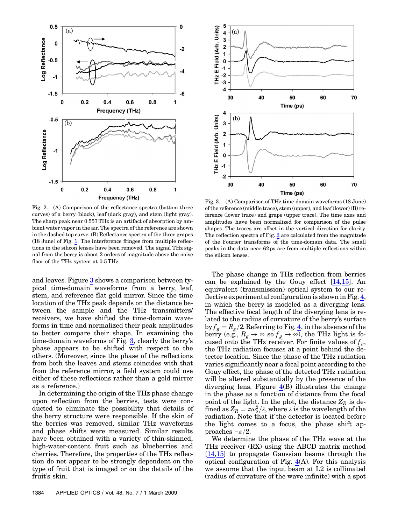<span id="page-2-1"></span>

Fig. 2. (A) Comparison of the reflectance spectra (bottom three curves) of a berry (black), leaf (dark gray), and stem (light gray). The sharp peak near 0:557THz is an artifact of absorption by ambient water vapor in the air. The spectra of the reference are shown in the dashed top curve. (B) Reflectance spectra of the three grapes (18 June) of Fig. [1.](#page-1-0) The interference fringes from multiple reflections in the silicon lenses have been removed. The signal THz signal from the berry is about 2 orders of magnitude above the noise floor of the THz system at 0:5THz.

and leaves. Figure [3](#page-2-0) shows a comparison between typical time-domain waveforms from a berry, leaf, stem, and reference flat gold mirror. Since the time location of the THz peak depends on the distance between the sample and the THz transmitters/ receivers, we have shifted the time-domain waveforms in time and normalized their peak amplitudes to better compare their shape. In examining the time-domain waveforms of Fig. [3](#page-2-0), clearly the berry'<sup>s</sup> phase appears to be shifted with respect to the others. (Moreover, since the phase of the reflections from both the leaves and stems coincides with that from the reference mirror, a field system could use either of these reflections rather than a gold mirror as a reference.)

In determining the origin of the THz phase change upon reflection from the berries, tests were conducted to eliminate the possibility that details of the berry structure were responsible. If the skin of the berries was removed, similar THz waveforms and phase shifts were measured. Similar results have been obtained with a variety of thin-skinned, high-water-content fruit such as blueberries and cherries. Therefore, the properties of the THz reflection do not appear to be strongly dependent on the type of fruit that is imaged or on the details of the fruit's skin.

<span id="page-2-0"></span>

Fig. 3. (A) Comparison of THz time-domain waveforms (18 June) of the reference (middle trace), stem (upper), and leaf (lower) (B) reference (lower trace) and grape (upper trace). The time axes and amplitudes have been normalized for comparison of the pulse shapes. The traces are offset in the vertical direction for clarity. The reflection spectra of Fig. [2](#page-2-1) are calculated from the magnitude of the Fourier transforms of the time-domain data. The small peaks in the data near 62 ps are from multiple reflections within the silicon lenses.

The phase change in THz reflection from berries can be explained by the Gouy effect [14,15]. An equivalent (transmission) optical system to our reflective experimental configuration is shown in Fig. [4](#page-3-0), in which the berry is modeled as a diverging lens. The effective focal length of the diverging lens is related to the radius of curvature of the berry's surface by  $f_g = R_g/2$ . Referring to Fig. [4](#page-3-0), in the absence of the berry (e.g.,  $R_g \rightarrow \infty$  so  $f_g \rightarrow \infty$ ), the THz light is focused onto the THz receiver. For finite values of  $f_g$ , the THz radiation focuses at a point behind the detector location. Since the phase of the THz radiation varies significantly near a focal point according to the Gouy effect, the phase of the detected THz radiation will be altered substantially by the presence of the diverging lens. Figure  $4(B)$  $4(B)$  illustrates the change in the phase as a function of distance from the focal point of the light. In the plot, the distance  $Z_R$  is defined as  $Z_R = \pi \omega_o^2 / \lambda$ , where  $\lambda$  is the wavelength of the radiation. Note that if the detector is located before the light comes to a focus, the phase shift approaches  $-\pi/2$ .

We determine the phase of the THz wave at the THz receiver (RX) using the ABCD matrix method [14,15] to propagate Gaussian beams through the optical configuration of Fig.  $4(A)$  $4(A)$ . For this analysis we assume that the input beam at L2 is collimated (radius of curvature of the wave infinite) with a spot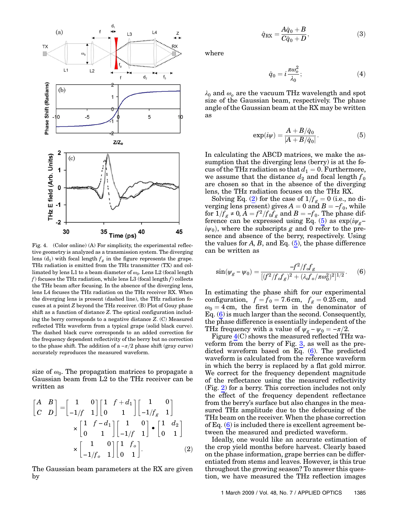<span id="page-3-0"></span>

Fig. 4. (Color online) (A) For simplicity, the experimental reflective geometry is analyzed as a transmission system. The diverging lens (d<sub>1</sub>) with focal length  $f_g$  in the figure represents the grape. THz radiation is emitted from the THz transmitter (TX) and collimated by lens L1 to a beam diameter of  $\omega_0$ . Lens L2 (focal length f) focuses the THz radiation, while lens L3 (focal length  $f$ ) collects the THz beam after focusing. In the absence of the diverging lens, lens L4 focuses the THz radiation on the THz receiver RX. When the diverging lens is present (dashed line), the THz radiation focuses at a point Z beyond the THz receiver. (B) Plot of Gouy phase shift as a function of distance Z. The optical configuration including the berry corresponds to a negative distance Z. (C) Measured reflected THz waveform from a typical grape (solid black curve). The dashed black curve corresponds to an added correction for the frequency dependent reflectivity of the berry but no correction to the phase shift. The addition of a  $-\pi/2$  phase shift (gray curve) accurately reproduces the measured waveform.

size of  $\omega_0$ . The propagation matrices to propagate a Gaussian beam from L2 to the THz receiver can be written as

<span id="page-3-1"></span>
$$
\begin{bmatrix} A & B \ C & D \end{bmatrix} = \begin{bmatrix} 1 & 0 \ -1/f & 1 \end{bmatrix} \begin{bmatrix} 1 & f + d_1 \ 0 & 1 \end{bmatrix} \begin{bmatrix} 1 & 0 \ -1/f_g & 1 \end{bmatrix}
$$

$$
\times \begin{bmatrix} 1 & f - d_1 \ 0 & 1 \end{bmatrix} \begin{bmatrix} 1 & 0 \ -1/f & 1 \end{bmatrix} \bullet \begin{bmatrix} 1 & d_2 \ 0 & 1 \end{bmatrix}
$$

$$
\times \begin{bmatrix} 1 & 0 \ -1/f_o & 1 \end{bmatrix} \begin{bmatrix} 1 & f_o \ 0 & 1 \end{bmatrix} .
$$
 (2)

The Gaussian beam parameters at the RX are given by

$$
\hat{q}_{\text{RX}} = \frac{A\hat{q}_0 + B}{C\hat{q}_0 + D},\tag{3}
$$

where

$$
\hat{q}_0 = i \frac{\pi \omega_o^2}{\lambda_0};\tag{4}
$$

<span id="page-3-2"></span> $\lambda_0$  and  $\omega_o$  are the vacuum THz wavelength and spot size of the Gaussian beam, respectively. The phase angle of the Gaussian beam at the RX may be written as

$$
\exp(i\psi) = \frac{A + B/\hat{q}_0}{|A + B/\hat{q}_0|}.\tag{5}
$$

In calculating the ABCD matrices, we make the assumption that the diverging lens (berry) is at the focus of the THz radiation so that  $d_1 = 0$ . Furthermore, we assume that the distance  $d_2$  and focal length  $f_0$ are chosen so that in the absence of the diverging lens, the THz radiation focuses on the THz RX.

Solving Eq. [\(2\)](#page-3-1) for the case of  $1/f_{g} = 0$  (i.e., no diverging lens present) gives  $A = 0$  and  $B = -f_0$ , while for  $1/f_g \neq 0$ ,  $A = f^2/f_0f_g$  and  $B = -f_0$ . The phase dif-ference can be expressed using Eq. ([5](#page-3-2)) as  $\exp(i\psi_g$  $i\psi_0$ , where the subscripts g and 0 refer to the presence and absence of the berry, respectively. Using the values for  $A, B$ , and Eq. ([5](#page-3-2)), the phase difference can be written as

<span id="page-3-3"></span>
$$
\sin(\psi_g - \psi_0) = \frac{-f^2/f_o f_g}{[(f^2/f_o f_g)^2 + (\lambda_o f_o / \pi \omega_0^2)^2]^{1/2}}.
$$
 (6)

In estimating the phase shift for our experimental configuration,  $f = f_0 = 7.6$  cm,  $f_g = 0.25$  cm, and  $\omega_0 = 4$  cm, the first term in the denominator of Eq.  $(6)$  $(6)$  $(6)$  is much larger than the second. Consequently, the phase difference is essentially independent of the THz frequency with a value of  $\psi_g - \psi_0 = -\pi/2$ .

Figure [4](#page-3-0)(C) shows the measured reflected THz waveform from the berry of Fig. [3](#page-2-0), as well as the predicted waveform based on Eq. ([6](#page-3-3)). The predicted waveform is calculated from the reference waveform in which the berry is replaced by a flat gold mirror. We correct for the frequency dependent magnitude of the reflectance using the measured reflectivity (Fig. [2](#page-2-1)) for a berry. This correction includes not only the effect of the frequency dependent reflectance from the berry's surface but also changes in the measured THz amplitude due to the defocusing of the THz beam on the receiver. When the phase correction of Eq.  $(6)$  $(6)$  $(6)$  is included there is excellent agreement between the measured and predicted waveform.

Ideally, one would like an accurate estimation of the crop yield months before harvest. Clearly based on the phase information, grape berries can be differentiated from stems and leaves. However, is this true throughout the growing season? To answer this question, we have measured the THz reflection images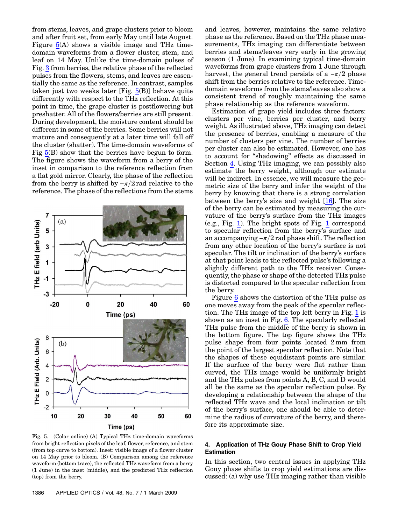from stems, leaves, and grape clusters prior to bloom and after fruit set, from early May until late August. Figure [5\(](#page-4-0)A) shows a visible image and THz timedomain waveforms from a flower cluster, stem, and leaf on 14 May. Unlike the time-domain pulses of Fig. [3](#page-2-0) from berries, the relative phase of the reflected pulses from the flowers, stems, and leaves are essentially the same as the reference. In contrast, samples taken just two weeks later [Fig. [5](#page-4-0)(B)] behave quite differently with respect to the THz reflection. At this point in time, the grape cluster is postflowering but preshatter. All of the flowers/berries are still present. During development, the moisture content should be different in some of the berries. Some berries will not mature and consequently at a later time will fall off the cluster (shatter). The time-domain waveforms of Fig [5](#page-4-0)(B) show that the berries have begun to form. The figure shows the waveform from a berry of the inset in comparison to the reference reflection from a flat gold mirror. Clearly, the phase of the reflection from the berry is shifted by  $-\pi/2$  rad relative to the reference. The phase of the reflections from the stems

<span id="page-4-0"></span>

Fig. 5. (Color online) (A) Typical THz time-domain waveforms from bright reflection pixels of the leaf, flower, reference, and stem (from top curve to bottom). Inset: visible image of a flower cluster on 14 May prior to bloom. (B) Comparison among the reference waveform (bottom trace), the reflected THz waveform from a berry (1 June) in the inset (middle), and the predicted THz reflection (top) from the berry.

and leaves, however, maintains the same relative phase as the reference. Based on the THz phase measurements, THz imaging can differentiate between berries and stems/leaves very early in the growing season (1 June). In examining typical time-domain waveforms from grape clusters from 1 June through harvest, the general trend persists of a  $-\pi/2$  phase shift from the berries relative to the reference. Timedomain waveforms from the stems/leaves also show a consistent trend of roughly maintaining the same phase relationship as the reference waveform.

Estimation of grape yield includes three factors: clusters per vine, berries per cluster, and berry weight. As illustrated above, THz imaging can detect the presence of berries, enabling a measure of the number of clusters per vine. The number of berries per cluster can also be estimated. However, one has to account for "shadowing" effects as discussed in Section 4. Using THz imaging, we can possibly also estimate the berry weight, although our estimate will be indirect. In essence, we will measure the geometric size of the berry and infer the weight of the berry by knowing that there is a strong correlation between the berry's size and weight [16]. The size of the berry can be estimated by measuring the curvature of the berry's surface from the THz images (e.g., Fig. [1\)](#page-1-0). The bright spots of Fig. [1](#page-1-0) correspond to specular reflection from the berry's surface and an accompanying  $-\pi/2$  rad phase shift. The reflection from any other location of the berry's surface is not specular. The tilt or inclination of the berry's surface at that point leads to the reflected pulse's following a slightly different path to the THz receiver. Consequently, the phase or shape of the detected THz pulse is distorted compared to the specular reflection from the berry.

Figure [6](#page-5-0) shows the distortion of the THz pulse as one moves away from the peak of the specular reflection. The THz image of the top left berry in Fig. [1](#page-1-0) is shown as an inset in Fig. [6.](#page-5-0) The specularly reflected THz pulse from the middle of the berry is shown in the bottom figure. The top figure shows the THz pulse shape from four points located 2 mm from the point of the largest specular reflection. Note that the shapes of these equidistant points are similar. If the surface of the berry were flat rather than curved, the THz image would be uniformly bright and the THz pulses from points A, B, C, and D would all be the same as the specular reflection pulse. By developing a relationship between the shape of the reflected THz wave and the local inclination or tilt of the berry's surface, one should be able to determine the radius of curvature of the berry, and therefore its approximate size.

## 4. Application of THz Gouy Phase Shift to Crop Yield Estimation

In this section, two central issues in applying THz Gouy phase shifts to crop yield estimations are discussed: (a) why use THz imaging rather than visible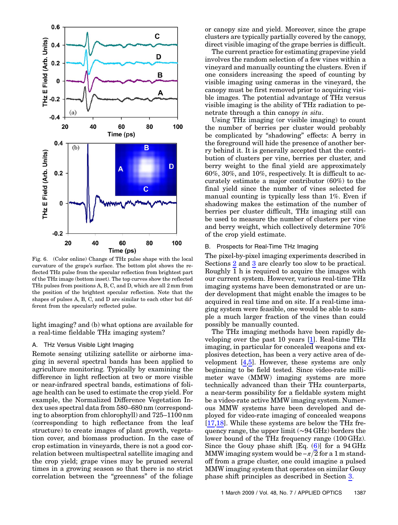<span id="page-5-0"></span>

Fig. 6. (Color online) Change of THz pulse shape with the local curvature of the grape's surface. The bottom plot shows the reflected THz pulse from the specular reflection from brightest part of the THz image (bottom inset). The top curves show the reflected THz pulses from positions A, B, C, and D, which are all 2 mm from the position of the brightest specular reflection. Note that the shapes of pulses A, B, C, and D are similar to each other but different from the specularly reflected pulse.

light imaging? and (b) what options are available for a real-time fieldable THz imaging system?

## A. THz Versus Visible Light Imaging

Remote sensing utilizing satellite or airborne imaging in several spectral bands has been applied to agriculture monitoring. Typically by examining the difference in light reflection at two or more visible or near-infrared spectral bands, estimations of foliage health can be used to estimate the crop yield. For example, the Normalized Difference Vegetation Index uses spectral data from <sup>580</sup>–<sup>680</sup> nm (corresponding to absorption from chlorophyll) and <sup>725</sup>–<sup>1100</sup> nm (corresponding to high reflectance from the leaf structure) to create images of plant growth, vegetation cover, and biomass production. In the case of crop estimation in vineyards, there is not a good correlation between multispectral satellite imaging and the crop yield; grape vines may be pruned several times in a growing season so that there is no strict correlation between the "greenness" of the foliage

or canopy size and yield. Moreover, since the grape clusters are typically partially covered by the canopy, direct visible imaging of the grape berries is difficult.

The current practice for estimating grapevine yield involves the random selection of a few vines within a vineyard and manually counting the clusters. Even if one considers increasing the speed of counting by visible imaging using cameras in the vineyard, the canopy must be first removed prior to acquiring visible images. The potential advantage of THz versus visible imaging is the ability of THz radiation to penetrate through a thin canopy in situ.

Using THz imaging (or visible imaging) to count the number of berries per cluster would probably be complicated by "shadowing" effects: A berry in the foreground will hide the presence of another berry behind it. It is generally accepted that the contribution of clusters per vine, berries per cluster, and berry weight to the final yield are approximately 60%, 30%, and 10%, respectively. It is difficult to accurately estimate a major contributor (60%) to the final yield since the number of vines selected for manual counting is typically less than 1%. Even if shadowing makes the estimation of the number of berries per cluster difficult, THz imaging still can be used to measure the number of clusters per vine and berry weight, which collectively determine 70% of the crop yield estimate.

### B. Prospects for Real-Time THz Imaging

The pixel-by-pixel imaging experiments described in Sections 2 and 3 are clearly too slow to be practical. Roughly 1 h is required to acquire the images with our current system. However, various real-time THz imaging systems have been demonstrated or are under development that might enable the images to be acquired in real time and on site. If a real-time imaging system were feasible, one would be able to sample a much larger fraction of the vines than could possibly be manually counted.

The THz imaging methods have been rapidly developing over the past 10 years [1]. Real-time THz imaging, in particular for concealed weapons and explosives detection, has been a very active area of development [4,5]. However, these systems are only beginning to be field tested. Since video-rate millimeter wave (MMW) imaging systems are more technically advanced than their THz counterparts, a near-term possibility for a fieldable system might be a video-rate active MMW imaging system. Numerous MMW systems have been developed and deployed for video-rate imaging of concealed weapons [17,18]. While these systems are below the THz frequency range, the upper limit (∼94 GHz) borders the lower bound of the THz frequency range (100 GHz). Since the Gouy phase shift  $[Eq. (6)]$  $[Eq. (6)]$  $[Eq. (6)]$  for a 94 GHz MMW imaging system would be  $-\pi/2$  for a 1 m standoff from a grape cluster, one could imagine a pulsed MMW imaging system that operates on similar Gouy phase shift principles as described in Section 3.